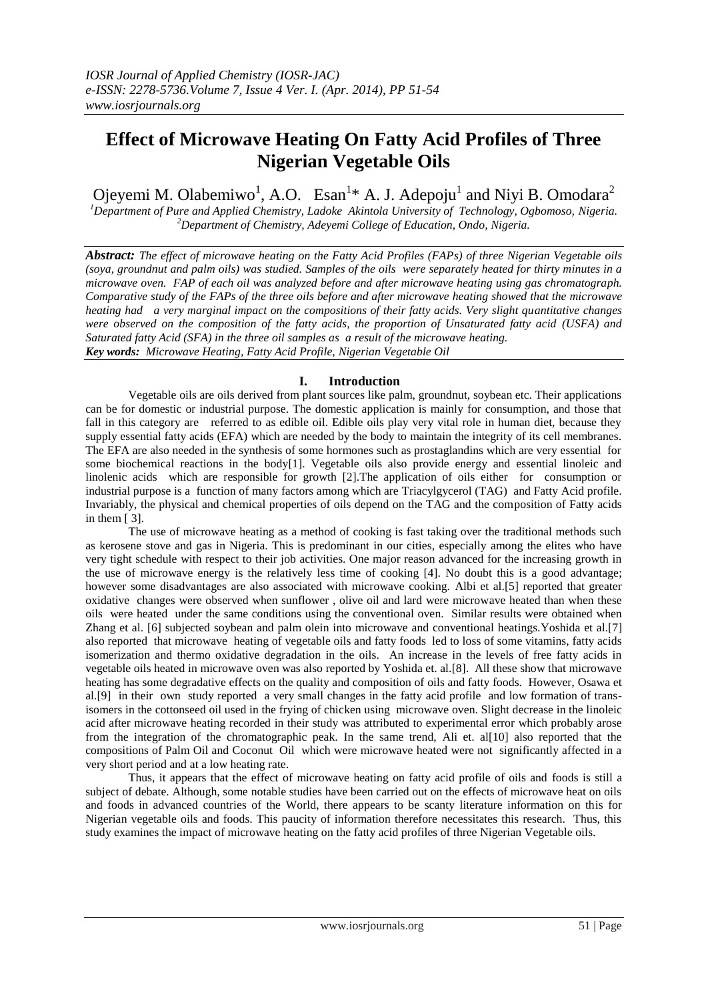# **Effect of Microwave Heating On Fatty Acid Profiles of Three Nigerian Vegetable Oils**

Ojeyemi M. Olabemiwo<sup>1</sup>, A.O. Esan<sup>1</sup>\* A. J. Adepoju<sup>1</sup> and Niyi B. Omodara<sup>2</sup>

*<sup>1</sup>Department of Pure and Applied Chemistry, Ladoke Akintola University of Technology, Ogbomoso, Nigeria. <sup>2</sup>Department of Chemistry, Adeyemi College of Education, Ondo, Nigeria.*

*Abstract: The effect of microwave heating on the Fatty Acid Profiles (FAPs) of three Nigerian Vegetable oils (soya, groundnut and palm oils) was studied. Samples of the oils were separately heated for thirty minutes in a microwave oven. FAP of each oil was analyzed before and after microwave heating using gas chromatograph. Comparative study of the FAPs of the three oils before and after microwave heating showed that the microwave heating had a very marginal impact on the compositions of their fatty acids. Very slight quantitative changes were observed on the composition of the fatty acids, the proportion of Unsaturated fatty acid (USFA) and Saturated fatty Acid (SFA) in the three oil samples as a result of the microwave heating. Key words: Microwave Heating, Fatty Acid Profile, Nigerian Vegetable Oil*

## **I. Introduction**

Vegetable oils are oils derived from plant sources like palm, groundnut, soybean etc. Their applications can be for domestic or industrial purpose. The domestic application is mainly for consumption, and those that fall in this category are referred to as edible oil. Edible oils play very vital role in human diet, because they supply essential fatty acids (EFA) which are needed by the body to maintain the integrity of its cell membranes. The EFA are also needed in the synthesis of some hormones such as prostaglandins which are very essential for some biochemical reactions in the body[1]. Vegetable oils also provide energy and essential linoleic and linolenic acids which are responsible for growth [2].The application of oils either for consumption or industrial purpose is a function of many factors among which are Triacylgycerol (TAG) and Fatty Acid profile. Invariably, the physical and chemical properties of oils depend on the TAG and the composition of Fatty acids in them [ 3].

The use of microwave heating as a method of cooking is fast taking over the traditional methods such as kerosene stove and gas in Nigeria. This is predominant in our cities, especially among the elites who have very tight schedule with respect to their job activities. One major reason advanced for the increasing growth in the use of microwave energy is the relatively less time of cooking [4]. No doubt this is a good advantage; however some disadvantages are also associated with microwave cooking. Albi et al.[5] reported that greater oxidative changes were observed when sunflower , olive oil and lard were microwave heated than when these oils were heated under the same conditions using the conventional oven. Similar results were obtained when Zhang et al. [6] subjected soybean and palm olein into microwave and conventional heatings.Yoshida et al.[7] also reported that microwave heating of vegetable oils and fatty foods led to loss of some vitamins, fatty acids isomerization and thermo oxidative degradation in the oils. An increase in the levels of free fatty acids in vegetable oils heated in microwave oven was also reported by Yoshida et. al.[8]. All these show that microwave heating has some degradative effects on the quality and composition of oils and fatty foods. However, Osawa et al.[9] in their own study reported a very small changes in the fatty acid profile and low formation of transisomers in the cottonseed oil used in the frying of chicken using microwave oven. Slight decrease in the linoleic acid after microwave heating recorded in their study was attributed to experimental error which probably arose from the integration of the chromatographic peak. In the same trend, Ali et. al[10] also reported that the compositions of Palm Oil and Coconut Oil which were microwave heated were not significantly affected in a very short period and at a low heating rate.

Thus, it appears that the effect of microwave heating on fatty acid profile of oils and foods is still a subject of debate. Although, some notable studies have been carried out on the effects of microwave heat on oils and foods in advanced countries of the World, there appears to be scanty literature information on this for Nigerian vegetable oils and foods. This paucity of information therefore necessitates this research. Thus, this study examines the impact of microwave heating on the fatty acid profiles of three Nigerian Vegetable oils.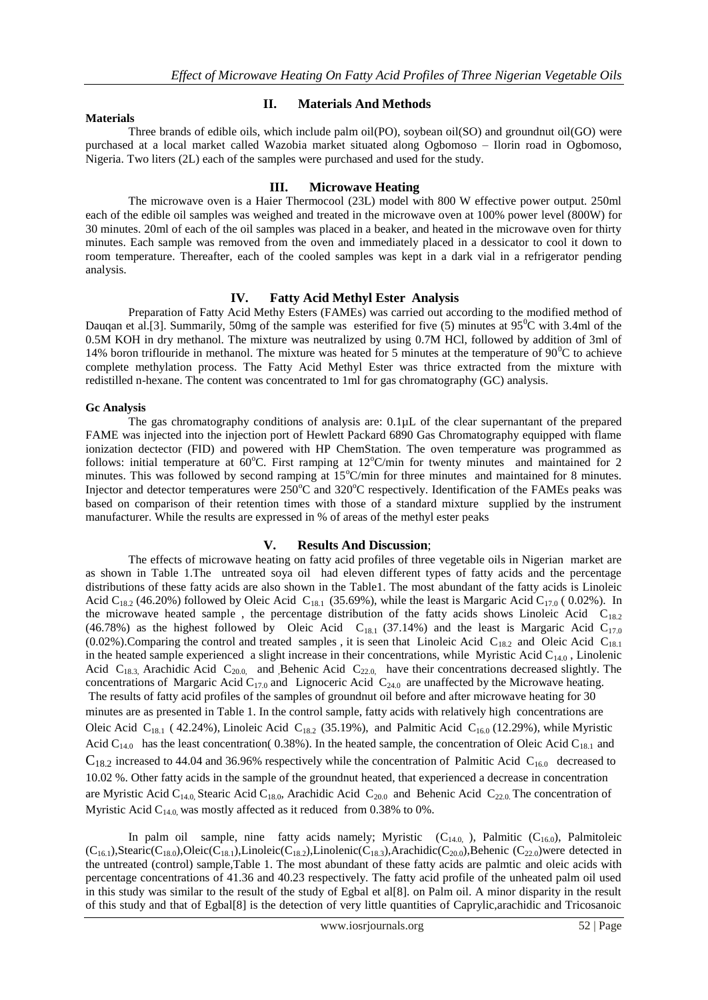#### **Materials**

### **II. Materials And Methods**

Three brands of edible oils, which include palm oil(PO), soybean oil(SO) and groundnut oil(GO) were purchased at a local market called Wazobia market situated along Ogbomoso – Ilorin road in Ogbomoso, Nigeria. Two liters (2L) each of the samples were purchased and used for the study.

### **III. Microwave Heating**

The microwave oven is a Haier Thermocool (23L) model with 800 W effective power output. 250ml each of the edible oil samples was weighed and treated in the microwave oven at 100% power level (800W) for 30 minutes. 20ml of each of the oil samples was placed in a beaker, and heated in the microwave oven for thirty minutes. Each sample was removed from the oven and immediately placed in a dessicator to cool it down to room temperature. Thereafter, each of the cooled samples was kept in a dark vial in a refrigerator pending analysis.

#### **IV. Fatty Acid Methyl Ester Analysis**

Preparation of Fatty Acid Methy Esters (FAMEs) was carried out according to the modified method of Dauqan et al.[3]. Summarily, 50mg of the sample was esterified for five (5) minutes at  $95^{\circ}$ C with 3.4ml of the 0.5M KOH in dry methanol. The mixture was neutralized by using 0.7M HCl, followed by addition of 3ml of 14% boron triflouride in methanol. The mixture was heated for 5 minutes at the temperature of  $90^{\circ}$ C to achieve complete methylation process. The Fatty Acid Methyl Ester was thrice extracted from the mixture with redistilled n-hexane. The content was concentrated to 1ml for gas chromatography (GC) analysis.

#### **Gc Analysis**

The gas chromatography conditions of analysis are:  $0.1 \mu L$  of the clear supernantant of the prepared FAME was injected into the injection port of Hewlett Packard 6890 Gas Chromatography equipped with flame ionization dectector (FID) and powered with HP ChemStation. The oven temperature was programmed as follows: initial temperature at  $60^{\circ}$ C. First ramping at  $12^{\circ}$ C/min for twenty minutes and maintained for 2 minutes. This was followed by second ramping at  $15^{\circ}$ C/min for three minutes and maintained for 8 minutes. Injector and detector temperatures were  $250^{\circ}$ C and  $320^{\circ}$ C respectively. Identification of the FAMEs peaks was based on comparison of their retention times with those of a standard mixture supplied by the instrument manufacturer. While the results are expressed in % of areas of the methyl ester peaks

## **V. Results And Discussion**;

The effects of microwave heating on fatty acid profiles of three vegetable oils in Nigerian market are as shown in Table 1.The untreated soya oil had eleven different types of fatty acids and the percentage distributions of these fatty acids are also shown in the Table1. The most abundant of the fatty acids is Linoleic Acid C<sub>18.2</sub> (46.20%) followed by Oleic Acid C<sub>18.1</sub> (35.69%), while the least is Margaric Acid C<sub>17.0</sub> (0.02%). In the microwave heated sample, the percentage distribution of the fatty acids shows Linoleic Acid  $C_{18.2}$ (46.78%) as the highest followed by Oleic Acid  $C_{18.1}$  (37.14%) and the least is Margaric Acid  $C_{17.0}$ (0.02%). Comparing the control and treated samples , it is seen that Linoleic Acid C<sub>18.2</sub> and Oleic Acid C<sub>18.1</sub> in the heated sample experienced a slight increase in their concentrations, while Myristic Acid  $C_{14.0}$ , Linolenic Acid  $C_{18.3}$ , Arachidic Acid  $C_{20.0}$ , and Behenic Acid  $C_{22.0}$ , have their concentrations decreased slightly. The concentrations of Margaric Acid  $C_{17.0}$  and Lignoceric Acid  $C_{24.0}$  are unaffected by the Microwave heating. The results of fatty acid profiles of the samples of groundnut oil before and after microwave heating for 30 minutes are as presented in Table 1. In the control sample, fatty acids with relatively high concentrations are Oleic Acid C<sub>18.1</sub> ( 42.24%), Linoleic Acid C<sub>18.2</sub> (35.19%), and Palmitic Acid C<sub>16.0</sub> (12.29%), while Myristic Acid C<sub>14.0</sub> has the least concentration( 0.38%). In the heated sample, the concentration of Oleic Acid C<sub>18.1</sub> and  $C_{18.2}$  increased to 44.04 and 36.96% respectively while the concentration of Palmitic Acid  $C_{16.0}$  decreased to 10.02 %. Other fatty acids in the sample of the groundnut heated, that experienced a decrease in concentration are Myristic Acid C<sub>14.0</sub>, Stearic Acid C<sub>18.0</sub>, Arachidic Acid C<sub>20.0</sub> and Behenic Acid C<sub>22.0</sub>. The concentration of Myristic Acid  $C_{14.0}$  was mostly affected as it reduced from 0.38% to 0%.

In palm oil sample, nine fatty acids namely; Myristic  $(C_{14.0,})$ , Palmitic  $(C_{16.0})$ , Palmitoleic  $(C_{16.1})$ , Stearic( $C_{18.0}$ ), Oleic( $C_{18.1}$ ), Linoleic( $C_{18.2}$ ), Linolenic( $C_{18.3}$ ), Arachidic( $C_{20.0}$ ), Behenic ( $C_{22.0}$ ) were detected in the untreated (control) sample,Table 1. The most abundant of these fatty acids are palmtic and oleic acids with percentage concentrations of 41.36 and 40.23 respectively. The fatty acid profile of the unheated palm oil used in this study was similar to the result of the study of Egbal et al[8]. on Palm oil. A minor disparity in the result of this study and that of Egbal[8] is the detection of very little quantities of Caprylic,arachidic and Tricosanoic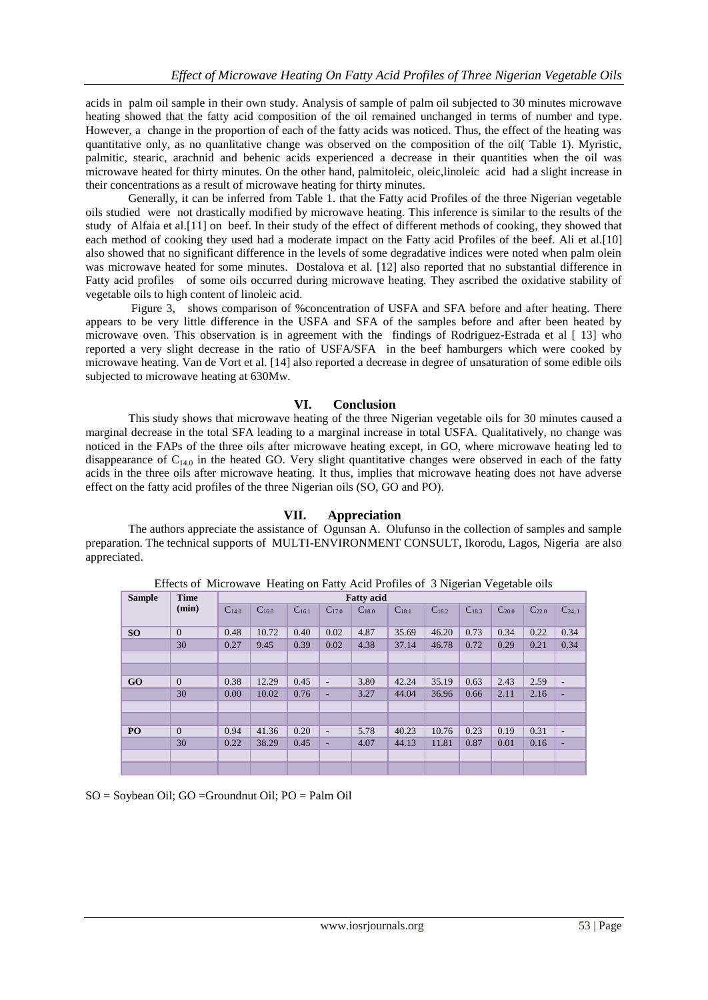acids in palm oil sample in their own study. Analysis of sample of palm oil subjected to 30 minutes microwave heating showed that the fatty acid composition of the oil remained unchanged in terms of number and type. However, a change in the proportion of each of the fatty acids was noticed. Thus, the effect of the heating was quantitative only, as no quanlitative change was observed on the composition of the oil( Table 1). Myristic, palmitic, stearic, arachnid and behenic acids experienced a decrease in their quantities when the oil was microwave heated for thirty minutes. On the other hand, palmitoleic, oleic,linoleic acid had a slight increase in their concentrations as a result of microwave heating for thirty minutes.

Generally, it can be inferred from Table 1. that the Fatty acid Profiles of the three Nigerian vegetable oils studied were not drastically modified by microwave heating. This inference is similar to the results of the study of Alfaia et al.[11] on beef. In their study of the effect of different methods of cooking, they showed that each method of cooking they used had a moderate impact on the Fatty acid Profiles of the beef. Ali et al.[10] also showed that no significant difference in the levels of some degradative indices were noted when palm olein was microwave heated for some minutes. Dostalova et al. [12] also reported that no substantial difference in Fatty acid profiles of some oils occurred during microwave heating. They ascribed the oxidative stability of vegetable oils to high content of linoleic acid.

Figure 3, shows comparison of %concentration of USFA and SFA before and after heating. There appears to be very little difference in the USFA and SFA of the samples before and after been heated by microwave oven. This observation is in agreement with the findings of Rodriguez-Estrada et al [13] who reported a very slight decrease in the ratio of USFA/SFA in the beef hamburgers which were cooked by microwave heating. Van de Vort et al. [14] also reported a decrease in degree of unsaturation of some edible oils subjected to microwave heating at 630Mw.

## **VI. Conclusion**

This study shows that microwave heating of the three Nigerian vegetable oils for 30 minutes caused a marginal decrease in the total SFA leading to a marginal increase in total USFA. Qualitatively, no change was noticed in the FAPs of the three oils after microwave heating except, in GO, where microwave heating led to disappearance of  $C_{14.0}$  in the heated GO. Very slight quantitative changes were observed in each of the fatty acids in the three oils after microwave heating. It thus, implies that microwave heating does not have adverse effect on the fatty acid profiles of the three Nigerian oils (SO, GO and PO).

## **VII. Appreciation**

The authors appreciate the assistance of Ogunsan A. Olufunso in the collection of samples and sample preparation. The technical supports of MULTI-ENVIRONMENT CONSULT, Ikorodu, Lagos, Nigeria are also appreciated.

| Effects of where wave Treating on Fatty Picture Fromes of 3 Fugerian Vegetable ons |             |                   |            |            |                          |            |            |            |            |            |            |                |
|------------------------------------------------------------------------------------|-------------|-------------------|------------|------------|--------------------------|------------|------------|------------|------------|------------|------------|----------------|
| <b>Sample</b>                                                                      | <b>Time</b> | <b>Fatty</b> acid |            |            |                          |            |            |            |            |            |            |                |
|                                                                                    | (min)       | $C_{14,0}$        | $C_{16,0}$ | $C_{16.1}$ | $C_{17,0}$               | $C_{18,0}$ | $C_{18,1}$ | $C_{18,2}$ | $C_{18,3}$ | $C_{20,0}$ | $C_{22,0}$ | $C_{241}$      |
| SO <sub>1</sub>                                                                    | $\Omega$    | 0.48              | 10.72      | 0.40       | 0.02                     | 4.87       | 35.69      | 46.20      | 0.73       | 0.34       | 0.22       | 0.34           |
|                                                                                    | 30          | 0.27              | 9.45       | 0.39       | 0.02                     | 4.38       | 37.14      | 46.78      | 0.72       | 0.29       | 0.21       | 0.34           |
|                                                                                    |             |                   |            |            |                          |            |            |            |            |            |            |                |
|                                                                                    |             |                   |            |            |                          |            |            |            |            |            |            |                |
| GO                                                                                 | $\Omega$    | 0.38              | 12.29      | 0.45       | $\overline{\phantom{a}}$ | 3.80       | 42.24      | 35.19      | 0.63       | 2.43       | 2.59       | $\overline{a}$ |
|                                                                                    | 30          | 0.00              | 10.02      | 0.76       | ۰                        | 3.27       | 44.04      | 36.96      | 0.66       | 2.11       | 2.16       | ٠              |
|                                                                                    |             |                   |            |            |                          |            |            |            |            |            |            |                |
|                                                                                    |             |                   |            |            |                          |            |            |            |            |            |            |                |
| P <sub>O</sub>                                                                     | $\Omega$    | 0.94              | 41.36      | 0.20       | $\overline{\phantom{a}}$ | 5.78       | 40.23      | 10.76      | 0.23       | 0.19       | 0.31       | $\overline{a}$ |
|                                                                                    | 30          | 0.22              | 38.29      | 0.45       | ۰                        | 4.07       | 44.13      | 11.81      | 0.87       | 0.01       | 0.16       | ٠              |
|                                                                                    |             |                   |            |            |                          |            |            |            |            |            |            |                |
|                                                                                    |             |                   |            |            |                          |            |            |            |            |            |            |                |

Effects of Microwave Heating on Fatty Acid Profiles of 3 Nigerian Vegetable oils

SO = Soybean Oil; GO =Groundnut Oil; PO = Palm Oil